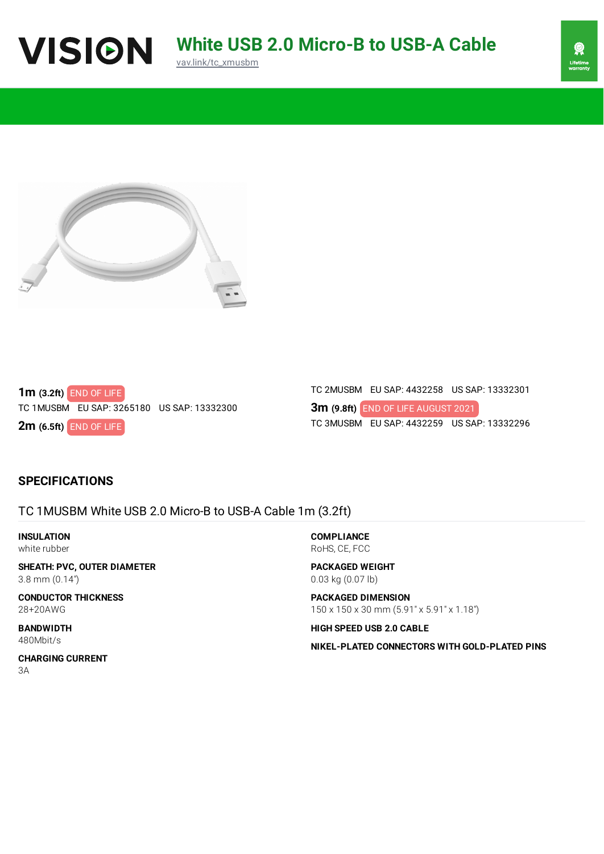





**1m (3.2ft)** END OF LIFE TC 1MUSBM EU SAP: 3265180 US SAP: 13332300

**2m (6.5ft)** END OF LIFE

TC 2MUSBM EU SAP: 4432258 US SAP: 13332301

**3m (9.8ft)** END OF LIFE AUGUST 2021TC 3MUSBM EU SAP: 4432259 US SAP: 13332296

## **SPECIFICATIONS**

TC 1MUSBM White USB 2.0 Micro-B to USB-A Cable 1m (3.2ft)

**INSULATION** white rubber

**SHEATH: PVC, OUTER DIAMETER** 3.8 mm (0.14")

**CONDUCTOR THICKNESS** 28+20AWG

**BANDWIDTH** 480Mbit/s

**COMPLIANCE** RoHS, CE, FCC

**PACKAGED WEIGHT** 0.03 kg (0.07 lb)

**PACKAGED DIMENSION** 150 x 150 x 30 mm (5.91" x 5.91" x 1.18")

**HIGH SPEED USB 2.0 CABLE**

**NIKEL-PLATED CONNECTORS WITH GOLD-PLATED PINS**

**CHARGING CURRENT** 3A